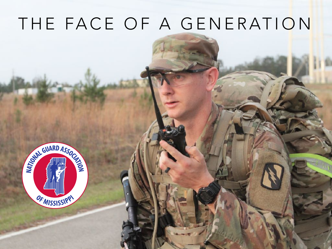# THE FACE OF A GENERATION

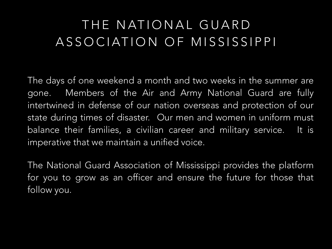### THE NATIONAL GUARD ASSOCIATION OF MISSISSIPPI

The days of one weekend a month and two weeks in the summer are gone. Members of the Air and Army National Guard are fully intertwined in defense of our nation overseas and protection of our state during times of disaster. Our men and women in uniform must balance their families, a civilian career and military service. It is imperative that we maintain a unified voice.

The National Guard Association of Mississippi provides the platform for you to grow as an officer and ensure the future for those that follow you.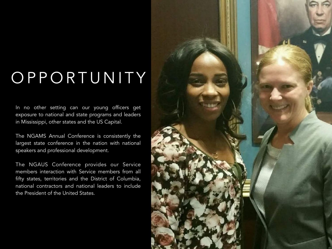# OPPORTUNITY

In no other setting can our young officers get exposure to national and state programs and leaders in Mississippi, other states and the US Capital.

The NGAMS Annual Conference is consistently the largest state conference in the nation with national speakers and professional development.

The NGAUS Conference provides our Service members interaction with Service members from all fifty states, territories and the District of Columbia, national contractors and national leaders to include the President of the United States.

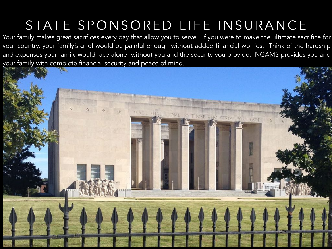## STATE SPONSORED LIFE INSURANCE

Your family makes great sacrifices every day that allow you to serve. If you were to make the ultimate sacrifice for your country, your family's grief would be painful enough without added financial worries. Think of the hardship and expenses your family would face alone- without you and the security you provide. NGAMS provides you and your family with complete financial security and peace of mind.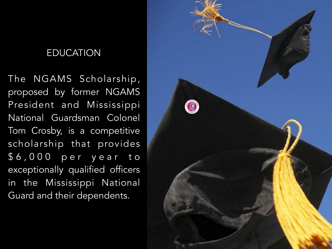#### EDUCATION

The NGAMS Scholarship, proposed by former NGAMS President and Mississippi National Guardsman Colonel Tom Crosby, is a competitive scholarship that provides \$ 6 , 0 0 0 p e r y e a r t o exceptionally qualified officers in the Mississippi National Guard and their dependents.

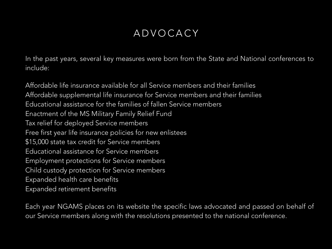#### ADVOCACY

In the past years, several key measures were born from the State and National conferences to include:

Affordable life insurance available for all Service members and their families Affordable supplemental life insurance for Service members and their families Educational assistance for the families of fallen Service members Enactment of the MS Military Family Relief Fund Tax relief for deployed Service members Free first year life insurance policies for new enlistees \$15,000 state tax credit for Service members Educational assistance for Service members Employment protections for Service members Child custody protection for Service members Expanded health care benefits Expanded retirement benefits

Each year NGAMS places on its website the specific laws advocated and passed on behalf of our Service members along with the resolutions presented to the national conference.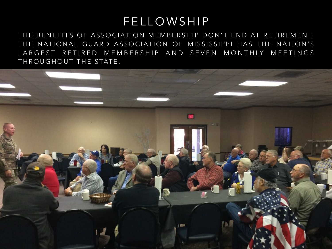### FELLOWSHIP

THE BENEFITS OF ASSOCIATION MEMBERSHIP DON'T END AT RETIREMENT. THE NATIONAL GUARD ASSOCIATION OF MISSISSIPPI HAS THE NATION'S LARGEST RETIRED MEMBERSHIP AND SEVEN MONTHLY MEETINGS THROUGHOUT THE STATE.